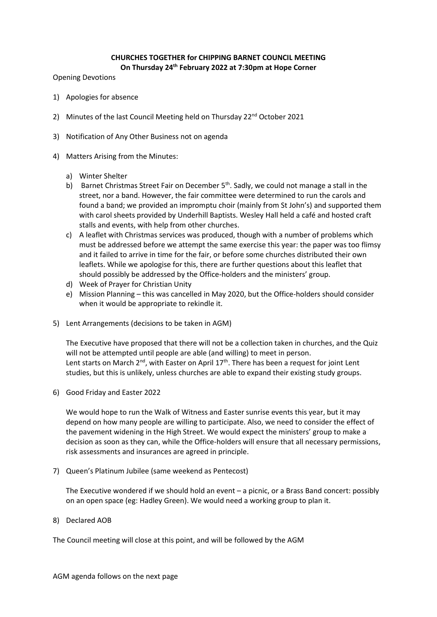## **CHURCHES TOGETHER for CHIPPING BARNET COUNCIL MEETING On Thursday 24 th February 2022 at 7:30pm at Hope Corner**

Opening Devotions

- 1) Apologies for absence
- 2) Minutes of the last Council Meeting held on Thursday 22<sup>nd</sup> October 2021
- 3) Notification of Any Other Business not on agenda
- 4) Matters Arising from the Minutes:
	- a) Winter Shelter
	- b) Barnet Christmas Street Fair on December 5<sup>th</sup>. Sadly, we could not manage a stall in the street, nor a band. However, the fair committee were determined to run the carols and found a band; we provided an impromptu choir (mainly from St John's) and supported them with carol sheets provided by Underhill Baptists. Wesley Hall held a café and hosted craft stalls and events, with help from other churches.
	- c) A leaflet with Christmas services was produced, though with a number of problems which must be addressed before we attempt the same exercise this year: the paper was too flimsy and it failed to arrive in time for the fair, or before some churches distributed their own leaflets. While we apologise for this, there are further questions about this leaflet that should possibly be addressed by the Office-holders and the ministers' group.
	- d) Week of Prayer for Christian Unity
	- e) Mission Planning this was cancelled in May 2020, but the Office-holders should consider when it would be appropriate to rekindle it.
- 5) Lent Arrangements (decisions to be taken in AGM)

The Executive have proposed that there will not be a collection taken in churches, and the Quiz will not be attempted until people are able (and willing) to meet in person. Lent starts on March  $2^{nd}$ , with Easter on April 17<sup>th</sup>. There has been a request for joint Lent studies, but this is unlikely, unless churches are able to expand their existing study groups.

6) Good Friday and Easter 2022

We would hope to run the Walk of Witness and Easter sunrise events this year, but it may depend on how many people are willing to participate. Also, we need to consider the effect of the pavement widening in the High Street. We would expect the ministers' group to make a decision as soon as they can, while the Office-holders will ensure that all necessary permissions, risk assessments and insurances are agreed in principle.

7) Queen's Platinum Jubilee (same weekend as Pentecost)

The Executive wondered if we should hold an event – a picnic, or a Brass Band concert: possibly on an open space (eg: Hadley Green). We would need a working group to plan it.

8) Declared AOB

The Council meeting will close at this point, and will be followed by the AGM